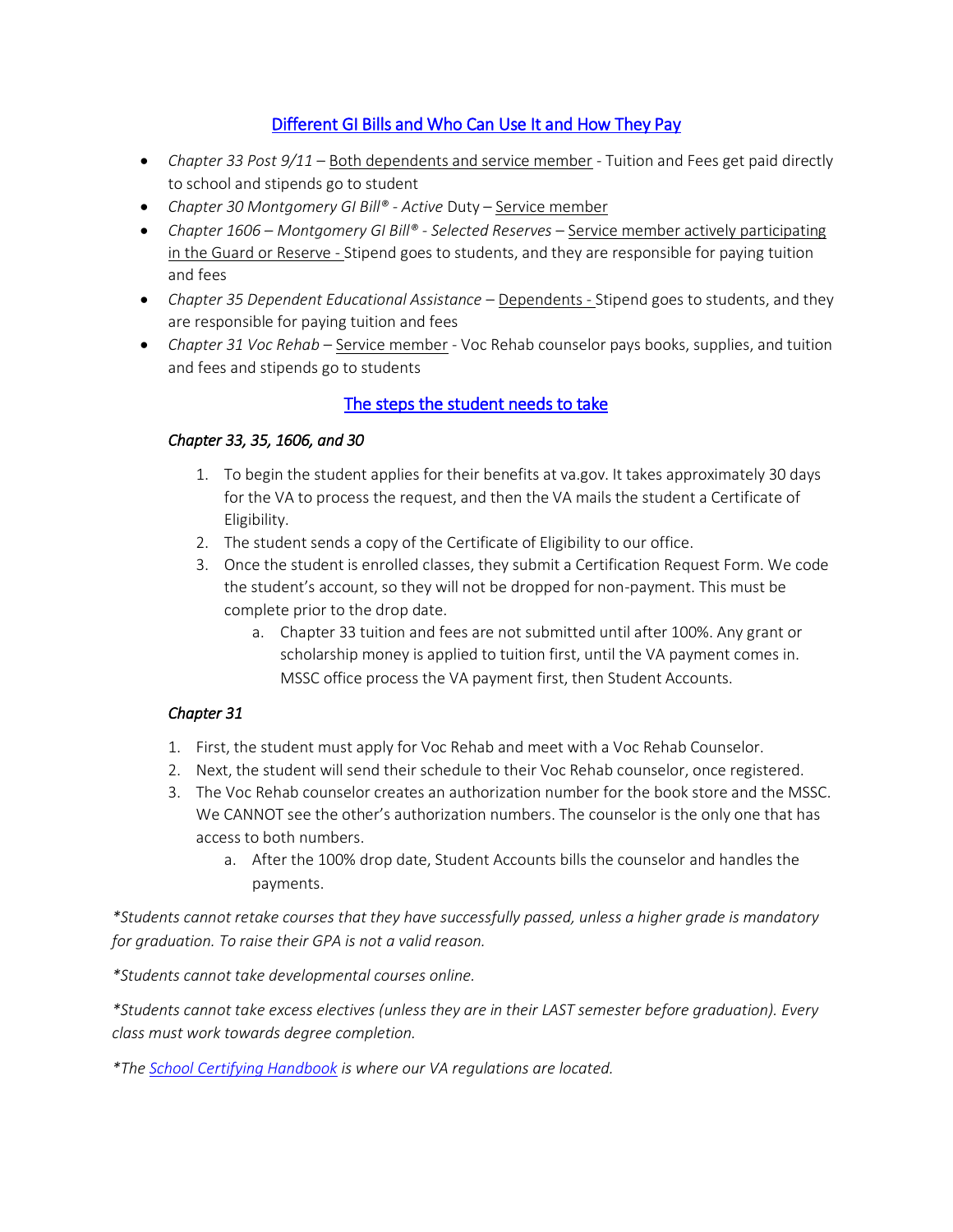# [Different GI Bills and Who Can Use It and How They Pay](https://ualr.edu/military/benefits-by-chapter/)

- *Chapter 33 Post 9/11* Both dependents and service member Tuition and Fees get paid directly to school and stipends go to student
- *Chapter 30 Montgomery GI Bill® - Active* Duty Service member
- **•** Chapter 1606 Montgomery GI Bill® Selected Reserves Service member actively participating in the Guard or Reserve - Stipend goes to students, and they are responsible for paying tuition and fees
- *Chapter 35 Dependent Educational Assistance* Dependents Stipend goes to students, and they are responsible for paying tuition and fees
- *Chapter 31 Voc Rehab* Service member Voc Rehab counselor pays books, supplies, and tuition and fees and stipends go to students

# [The steps the student needs to take](https://ualr.edu/military/future-students/)

# *Chapter 33, 35, 1606, and 30*

- 1. To begin the student applies for their benefits at va.gov. It takes approximately 30 days for the VA to process the request, and then the VA mails the student a Certificate of Eligibility.
- 2. The student sends a copy of the Certificate of Eligibility to our office.
- 3. Once the student is enrolled classes, they submit a Certification Request Form. We code the student's account, so they will not be dropped for non-payment. This must be complete prior to the drop date.
	- a. Chapter 33 tuition and fees are not submitted until after 100%. Any grant or scholarship money is applied to tuition first, until the VA payment comes in. MSSC office process the VA payment first, then Student Accounts.

# *Chapter 31*

- 1. First, the student must apply for Voc Rehab and meet with a Voc Rehab Counselor.
- 2. Next, the student will send their schedule to their Voc Rehab counselor, once registered.
- 3. The Voc Rehab counselor creates an authorization number for the book store and the MSSC. We CANNOT see the other's authorization numbers. The counselor is the only one that has access to both numbers.
	- a. After the 100% drop date, Student Accounts bills the counselor and handles the payments.

*\*Students cannot retake courses that they have successfully passed, unless a higher grade is mandatory for graduation. To raise their GPA is not a valid reason.*

*\*Students cannot take developmental courses online.* 

*\*Students cannot take excess electives (unless they are in their LAST semester before graduation). Every class must work towards degree completion.* 

*\*The [School Certifying Handbook](https://www.knowva.ebenefits.va.gov/system/templates/selfservice/va_ssnew/help/customer/locale/en-US/portal/554400000001018/content/554400000149088/School-Certifying-Official-Handbook-On-line) is where our VA regulations are located.*